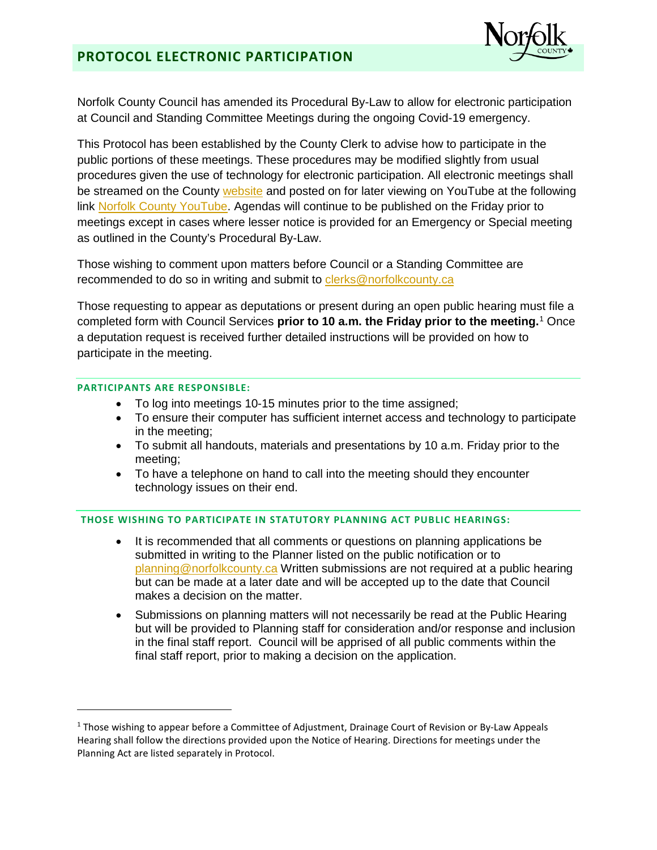

Norfolk County Council has amended its Procedural By-Law to allow for electronic participation at Council and Standing Committee Meetings during the ongoing Covid-19 emergency.

This Protocol has been established by the County Clerk to advise how to participate in the public portions of these meetings. These procedures may be modified slightly from usual procedures given the use of technology for electronic participation. All electronic meetings shall be streamed on the County [website](https://www.norfolkcounty.ca/government/watch-norfolk-county-meetings/) and posted on for later viewing on YouTube at the following link [Norfolk County YouTube.](https://www.youtube.com/channel/UCpz4tpLVdDV4xJKlCreRCHA) Agendas will continue to be published on the Friday prior to meetings except in cases where lesser notice is provided for an Emergency or Special meeting as outlined in the County's Procedural By-Law.

Those wishing to comment upon matters before Council or a Standing Committee are recommended to do so in writing and submit to [clerks@norfolkcounty.ca](mailto:clerks@norfolkcounty.ca)

Those requesting to appear as deputations or present during an open public hearing must file a completed form with Council Services **prior to 10 a.m. the Friday prior to the meeting.** [1](#page-0-0) Once a deputation request is received further detailed instructions will be provided on how to participate in the meeting.

## **PARTICIPANTS ARE RESPONSIBLE:**

 $\overline{a}$ 

- To log into meetings 10-15 minutes prior to the time assigned;
- To ensure their computer has sufficient internet access and technology to participate in the meeting;
- To submit all handouts, materials and presentations by 10 a.m. Friday prior to the meeting;
- To have a telephone on hand to call into the meeting should they encounter technology issues on their end.

## **THOSE WISHING TO PARTICIPATE IN STATUTORY PLANNING ACT PUBLIC HEARINGS:**

- It is recommended that all comments or questions on planning applications be submitted in writing to the Planner listed on the public notification or to planning@norfolkcounty.ca Written submissions are not required at a public hearing but can be made at a later date and will be accepted up to the date that Council makes a decision on the matter.
- Submissions on planning matters will not necessarily be read at the Public Hearing but will be provided to Planning staff for consideration and/or response and inclusion in the final staff report. Council will be apprised of all public comments within the final staff report, prior to making a decision on the application.

<span id="page-0-0"></span><sup>&</sup>lt;sup>1</sup> Those wishing to appear before a Committee of Adjustment, Drainage Court of Revision or By-Law Appeals Hearing shall follow the directions provided upon the Notice of Hearing. Directions for meetings under the Planning Act are listed separately in Protocol.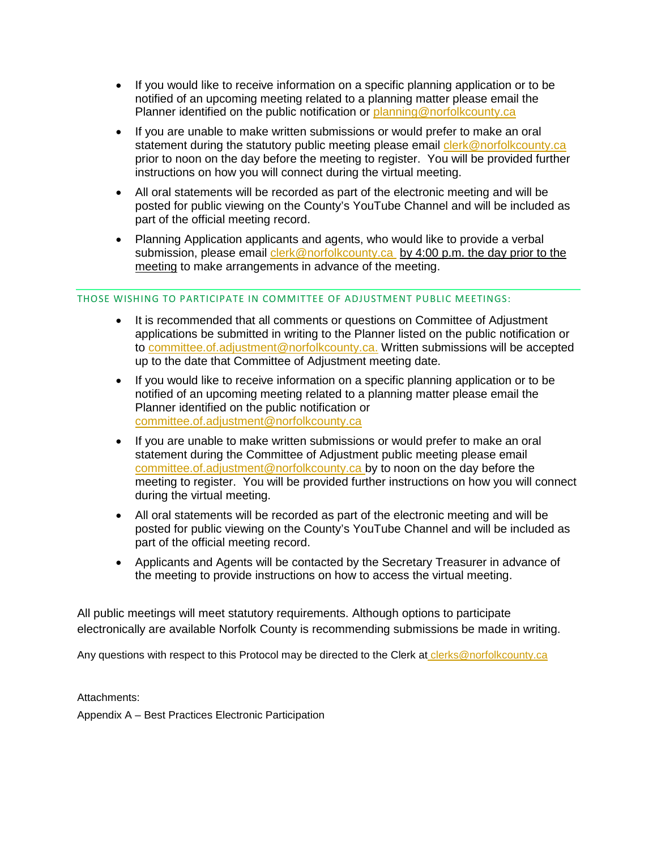- If you would like to receive information on a specific planning application or to be notified of an upcoming meeting related to a planning matter please email the Planner identified on the public notification or planning@norfolkcounty.ca
- If you are unable to make written submissions or would prefer to make an oral statement during the statutory public meeting please email clerk@norfolkcounty.ca prior to noon on the day before the meeting to register. You will be provided further instructions on how you will connect during the virtual meeting.
- All oral statements will be recorded as part of the electronic meeting and will be posted for public viewing on the County's YouTube Channel and will be included as part of the official meeting record.
- Planning Application applicants and agents, who would like to provide a verbal submission, please email [clerk@norfolkcounty.ca](mailto:clerk@norfolkcounty.ca) by 4:00 p.m. the day prior to the meeting to make arrangements in advance of the meeting.

### THOSE WISHING TO PARTICIPATE IN COMMITTEE OF ADJUSTMENT PUBLIC MEETINGS:

- It is recommended that all comments or questions on Committee of Adjustment applications be submitted in writing to the Planner listed on the public notification or to committee.of.adjustment@norfolkcounty.ca. Written submissions will be accepted up to the date that Committee of Adjustment meeting date.
- If you would like to receive information on a specific planning application or to be notified of an upcoming meeting related to a planning matter please email the Planner identified on the public notification or [committee.of.adjustment@norfolkcounty.ca](mailto:committee.of.adjustment@norfolkcounty.ca)
- If you are unable to make written submissions or would prefer to make an oral statement during the Committee of Adjustment public meeting please email [committee.of.adjustment@norfolkcounty.ca](mailto:committee.of.adjustment@norfolkcounty.ca) by to noon on the day before the meeting to register. You will be provided further instructions on how you will connect during the virtual meeting.
- All oral statements will be recorded as part of the electronic meeting and will be posted for public viewing on the County's YouTube Channel and will be included as part of the official meeting record.
- Applicants and Agents will be contacted by the Secretary Treasurer in advance of the meeting to provide instructions on how to access the virtual meeting.

All public meetings will meet statutory requirements. Although options to participate electronically are available Norfolk County is recommending submissions be made in writing.

Any questions with respect to this Protocol may be directed to the Clerk at clerks@norfolkcounty.ca

Attachments:

Appendix A – Best Practices Electronic Participation